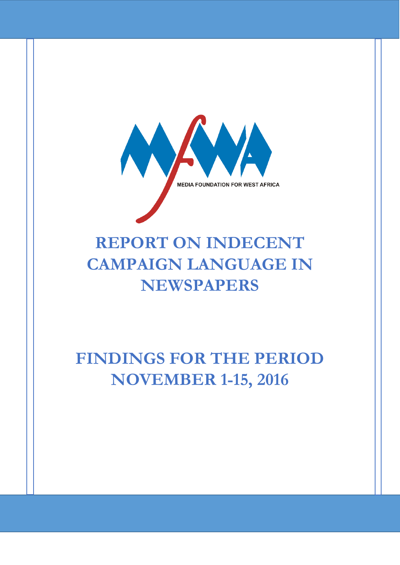

# **REPORT ON INDECENT CAMPAIGN LANGUAGE IN NEWSPAPERS**

# **FINDINGS FOR THE PERIOD NOVEMBER 1-15, 2016**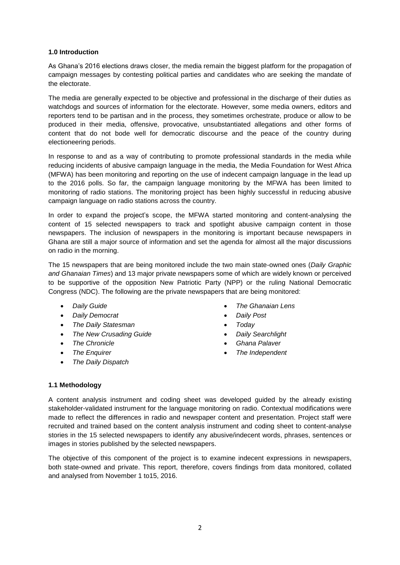### **1.0 Introduction**

As Ghana's 2016 elections draws closer, the media remain the biggest platform for the propagation of campaign messages by contesting political parties and candidates who are seeking the mandate of the electorate.

The media are generally expected to be objective and professional in the discharge of their duties as watchdogs and sources of information for the electorate. However, some media owners, editors and reporters tend to be partisan and in the process, they sometimes orchestrate, produce or allow to be produced in their media, offensive, provocative, unsubstantiated allegations and other forms of content that do not bode well for democratic discourse and the peace of the country during electioneering periods.

In response to and as a way of contributing to promote professional standards in the media while reducing incidents of abusive campaign language in the media, the Media Foundation for West Africa (MFWA) has been monitoring and reporting on the use of indecent campaign language in the lead up to the 2016 polls. So far, the campaign language monitoring by the MFWA has been limited to monitoring of radio stations. The monitoring project has been highly successful in reducing abusive campaign language on radio stations across the country.

In order to expand the project's scope, the MFWA started monitoring and content-analysing the content of 15 selected newspapers to track and spotlight abusive campaign content in those newspapers. The inclusion of newspapers in the monitoring is important because newspapers in Ghana are still a major source of information and set the agenda for almost all the major discussions on radio in the morning.

The 15 newspapers that are being monitored include the two main state-owned ones (*Daily Graphic and Ghanaian Times*) and 13 major private newspapers some of which are widely known or perceived to be supportive of the opposition New Patriotic Party (NPP) or the ruling National Democratic Congress (NDC). The following are the private newspapers that are being monitored:

- *Daily Guide*
- *Daily Democrat*
- *The Daily Statesman*
- *The New Crusading Guide*
- *The Chronicle*
- *The Enquirer*
- *The Daily Dispatch*
- *The Ghanaian Lens*
- *Daily Post*
- *Today*
- *Daily Searchlight*
- *Ghana Palaver*
- *The Independent*

#### **1.1 Methodology**

A content analysis instrument and coding sheet was developed guided by the already existing stakeholder-validated instrument for the language monitoring on radio. Contextual modifications were made to reflect the differences in radio and newspaper content and presentation. Project staff were recruited and trained based on the content analysis instrument and coding sheet to content-analyse stories in the 15 selected newspapers to identify any abusive/indecent words, phrases, sentences or images in stories published by the selected newspapers.

The objective of this component of the project is to examine indecent expressions in newspapers, both state-owned and private. This report, therefore, covers findings from data monitored, collated and analysed from November 1 to15, 2016.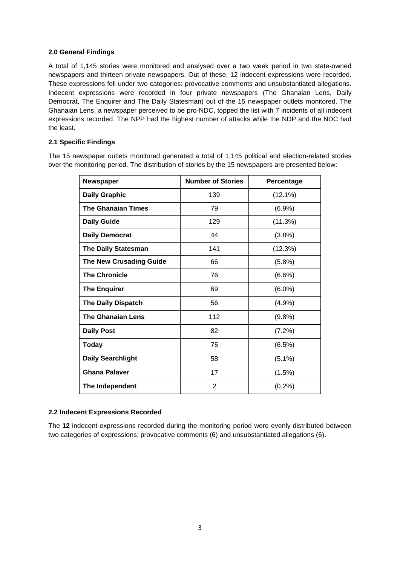# **2.0 General Findings**

A total of 1,145 stories were monitored and analysed over a two week period in two state-owned newspapers and thirteen private newspapers. Out of these, 12 indecent expressions were recorded. These expressions fell under two categories: provocative comments and unsubstantiated allegations. Indecent expressions were recorded in four private newspapers (The Ghanaian Lens, Daily Democrat, The Enquirer and The Daily Statesman) out of the 15 newspaper outlets monitored. The Ghanaian Lens, a newspaper perceived to be pro-NDC, topped the list with 7 incidents of all indecent expressions recorded. The NPP had the highest number of attacks while the NDP and the NDC had the least.

# **2.1 Specific Findings**

The 15 newspaper outlets monitored generated a total of 1,145 political and election-related stories over the monitoring period. The distribution of stories by the 15 newspapers are presented below:

| <b>Newspaper</b>               | <b>Number of Stories</b> | Percentage |
|--------------------------------|--------------------------|------------|
| <b>Daily Graphic</b>           | 139                      | $(12.1\%)$ |
| <b>The Ghanaian Times</b>      | 79                       | (6.9%)     |
| <b>Daily Guide</b>             | 129                      | (11.3%)    |
| <b>Daily Democrat</b>          | 44                       | (3.8%)     |
| <b>The Daily Statesman</b>     | 141                      | (12.3%)    |
| <b>The New Crusading Guide</b> | 66                       | (5.8%)     |
| <b>The Chronicle</b>           | 76                       | $(6.6\%)$  |
| <b>The Enquirer</b>            | 69                       | $(6.0\%)$  |
| <b>The Daily Dispatch</b>      | 56                       | (4.9%)     |
| <b>The Ghanaian Lens</b>       | 112                      | (9.8%)     |
| <b>Daily Post</b>              | 82                       | (7.2%)     |
| <b>Today</b>                   | 75                       | (6.5%)     |
| <b>Daily Searchlight</b>       | 58                       | $(5.1\%)$  |
| <b>Ghana Palaver</b>           | 17                       | (1.5%)     |
| The Independent                | $\overline{2}$           | (0.2%)     |

#### **2.2 Indecent Expressions Recorded**

The **12** indecent expressions recorded during the monitoring period were evenly distributed between two categories of expressions: provocative comments (6) and unsubstantiated allegations (6).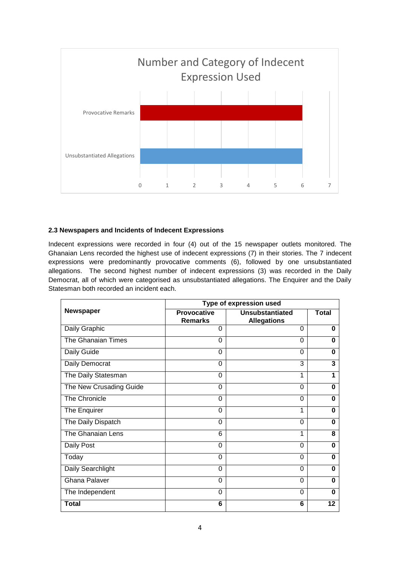

### **2.3 Newspapers and Incidents of Indecent Expressions**

Indecent expressions were recorded in four (4) out of the 15 newspaper outlets monitored. The Ghanaian Lens recorded the highest use of indecent expressions (7) in their stories. The 7 indecent expressions were predominantly provocative comments (6), followed by one unsubstantiated allegations. The second highest number of indecent expressions (3) was recorded in the Daily Democrat, all of which were categorised as unsubstantiated allegations. The Enquirer and the Daily Statesman both recorded an incident each.

| <b>Newspaper</b>        | Type of expression used              |                                       |              |
|-------------------------|--------------------------------------|---------------------------------------|--------------|
|                         | <b>Provocative</b><br><b>Remarks</b> | Unsubstantiated<br><b>Allegations</b> | <b>Total</b> |
| Daily Graphic           | 0                                    | 0                                     | 0            |
| The Ghanaian Times      | 0                                    | 0                                     | 0            |
| Daily Guide             | 0                                    | $\Omega$                              | 0            |
| Daily Democrat          | $\Omega$                             | 3                                     | 3            |
| The Daily Statesman     | 0                                    | 1                                     | 1            |
| The New Crusading Guide | 0                                    | $\Omega$                              | O            |
| The Chronicle           | 0                                    | 0                                     | 0            |
| The Enquirer            | 0                                    | 1                                     | 0            |
| The Daily Dispatch      | $\Omega$                             | $\Omega$                              | $\Omega$     |
| The Ghanaian Lens       | 6                                    | 1                                     | 8            |
| Daily Post              | 0                                    | 0                                     | 0            |
| Today                   | 0                                    | 0                                     | 0            |
| Daily Searchlight       | $\Omega$                             | 0                                     | $\bf{0}$     |
| <b>Ghana Palaver</b>    | $\Omega$                             | 0                                     | $\bf{0}$     |
| The Independent         | 0                                    | $\Omega$                              | 0            |
| <b>Total</b>            | 6                                    | 6                                     | 12           |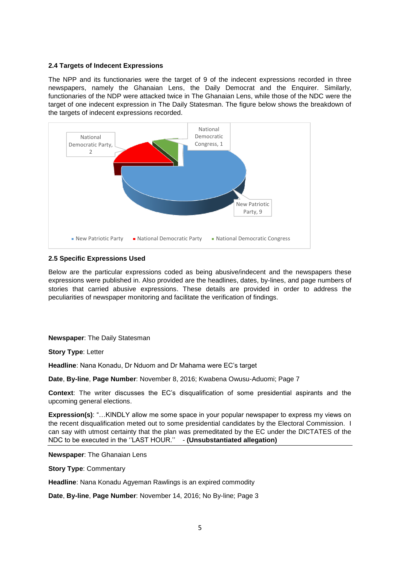#### **2.4 Targets of Indecent Expressions**

The NPP and its functionaries were the target of 9 of the indecent expressions recorded in three newspapers, namely the Ghanaian Lens, the Daily Democrat and the Enquirer. Similarly, functionaries of the NDP were attacked twice in The Ghanaian Lens, while those of the NDC were the target of one indecent expression in The Daily Statesman. The figure below shows the breakdown of the targets of indecent expressions recorded.



#### **2.5 Specific Expressions Used**

Below are the particular expressions coded as being abusive/indecent and the newspapers these expressions were published in. Also provided are the headlines, dates, by-lines, and page numbers of stories that carried abusive expressions. These details are provided in order to address the peculiarities of newspaper monitoring and facilitate the verification of findings.

#### **Newspaper**: The Daily Statesman

**Story Type**: Letter

**Headline**: Nana Konadu, Dr Nduom and Dr Mahama were EC's target

**Date**, **By-line**, **Page Number**: November 8, 2016; Kwabena Owusu-Aduomi; Page 7

**Context**: The writer discusses the EC's disqualification of some presidential aspirants and the upcoming general elections.

**Expression(s)**: "…KINDLY allow me some space in your popular newspaper to express my views on the recent disqualification meted out to some presidential candidates by the Electoral Commission. I can say with utmost certainty that the plan was premeditated by the EC under the DICTATES of the NDC to be executed in the ''LAST HOUR.'' - **(Unsubstantiated allegation)**

**Newspaper**: The Ghanaian Lens

**Story Type**: Commentary

**Headline**: Nana Konadu Agyeman Rawlings is an expired commodity

**Date**, **By-line**, **Page Number**: November 14, 2016; No By-line; Page 3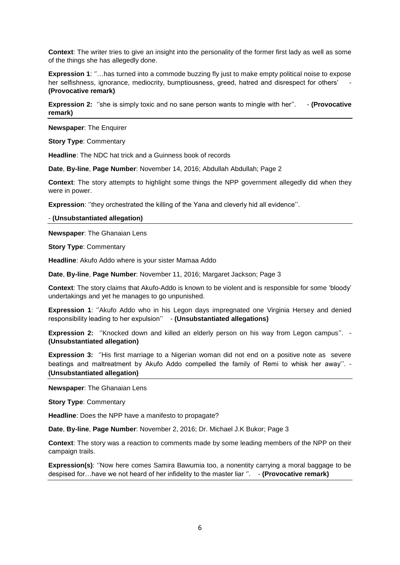**Context**: The writer tries to give an insight into the personality of the former first lady as well as some of the things she has allegedly done.

**Expression 1**: ''…has turned into a commode buzzing fly just to make empty political noise to expose her selfishness, ignorance, mediocrity, bumptiousness, greed, hatred and disrespect for others' **(Provocative remark)**

**Expression 2:** "she is simply toxic and no sane person wants to mingle with her". - **(Provocative remark)**

**Newspaper**: The Enquirer

**Story Type**: Commentary

**Headline**: The NDC hat trick and a Guinness book of records

**Date**, **By-line**, **Page Number**: November 14, 2016; Abdullah Abdullah; Page 2

**Context**: The story attempts to highlight some things the NPP government allegedly did when they were in power.

**Expression:** "they orchestrated the killing of the Yana and cleverly hid all evidence".

- **(Unsubstantiated allegation)**

**Newspaper**: The Ghanaian Lens

**Story Type**: Commentary

**Headline**: Akufo Addo where is your sister Mamaa Addo

**Date**, **By-line**, **Page Number**: November 11, 2016; Margaret Jackson; Page 3

**Context**: The story claims that Akufo-Addo is known to be violent and is responsible for some 'bloody' undertakings and yet he manages to go unpunished.

**Expression 1:** "Akufo Addo who in his Legon days impregnated one Virginia Hersey and denied responsibility leading to her expulsion'' - **(Unsubstantiated allegations)**

**Expression 2:** ''Knocked down and killed an elderly person on his way from Legon campus''. - **(Unsubstantiated allegation)**

**Expression 3:** ''His first marriage to a Nigerian woman did not end on a positive note as severe beatings and maltreatment by Akufo Addo compelled the family of Remi to whisk her away''. - **(Unsubstantiated allegation)**

**Newspaper**: The Ghanaian Lens

**Story Type**: Commentary

**Headline**: Does the NPP have a manifesto to propagate?

**Date**, **By-line**, **Page Number**: November 2, 2016; Dr. Michael J.K Bukor; Page 3

**Context**: The story was a reaction to comments made by some leading members of the NPP on their campaign trails.

**Expression(s)**: ''Now here comes Samira Bawumia too, a nonentity carrying a moral baggage to be despised for…have we not heard of her infidelity to the master liar ''. - **(Provocative remark)**